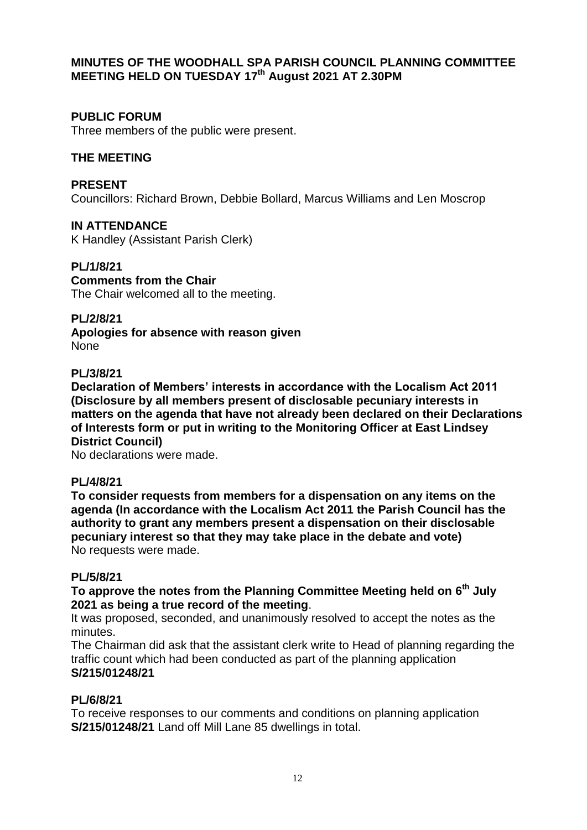### **MINUTES OF THE WOODHALL SPA PARISH COUNCIL PLANNING COMMITTEE MEETING HELD ON TUESDAY 17th August 2021 AT 2.30PM**

## **PUBLIC FORUM**

Three members of the public were present.

## **THE MEETING**

**PRESENT** Councillors: Richard Brown, Debbie Bollard, Marcus Williams and Len Moscrop

**IN ATTENDANCE** K Handley (Assistant Parish Clerk)

**PL/1/8/21**

**Comments from the Chair** The Chair welcomed all to the meeting.

**PL/2/8/21 Apologies for absence with reason given** None

### **PL/3/8/21**

**Declaration of Members' interests in accordance with the Localism Act 2011 (Disclosure by all members present of disclosable pecuniary interests in matters on the agenda that have not already been declared on their Declarations of Interests form or put in writing to the Monitoring Officer at East Lindsey District Council)**

No declarations were made.

### **PL/4/8/21**

**To consider requests from members for a dispensation on any items on the agenda (In accordance with the Localism Act 2011 the Parish Council has the authority to grant any members present a dispensation on their disclosable pecuniary interest so that they may take place in the debate and vote)** No requests were made.

### **PL/5/8/21**

**To approve the notes from the Planning Committee Meeting held on 6 th July 2021 as being a true record of the meeting**.

It was proposed, seconded, and unanimously resolved to accept the notes as the minutes.

The Chairman did ask that the assistant clerk write to Head of planning regarding the traffic count which had been conducted as part of the planning application **S/215/01248/21**

### **PL/6/8/21**

To receive responses to our comments and conditions on planning application **S/215/01248/21** Land off Mill Lane 85 dwellings in total.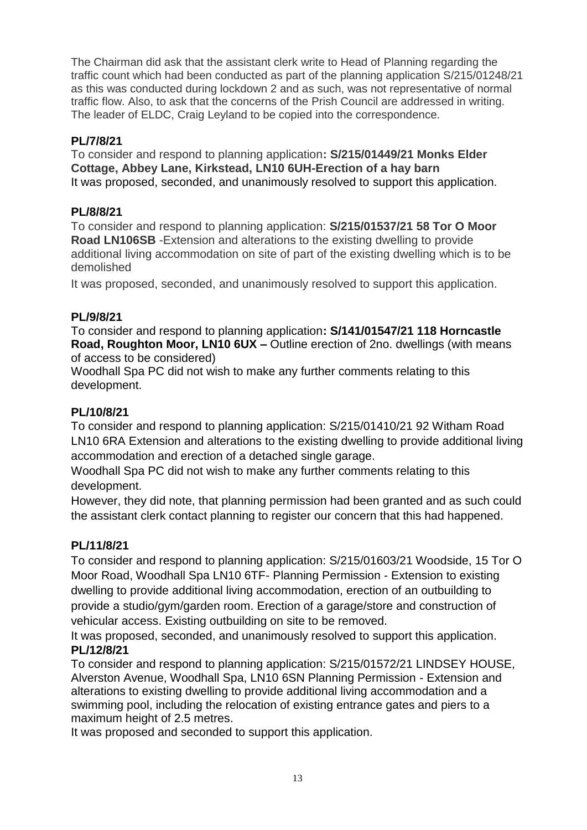The Chairman did ask that the assistant clerk write to Head of Planning regarding the traffic count which had been conducted as part of the planning application S/215/01248/21 as this was conducted during lockdown 2 and as such, was not representative of normal traffic flow. Also, to ask that the concerns of the Prish Council are addressed in writing. The leader of ELDC, Craig Leyland to be copied into the correspondence.

## **PL/7/8/21**

To consider and respond to planning application**: S/215/01449/21 Monks Elder Cottage, Abbey Lane, Kirkstead, LN10 6UH-Erection of a hay barn** It was proposed, seconded, and unanimously resolved to support this application.

## **PL/8/8/21**

To consider and respond to planning application: **S/215/01537/21 58 Tor O Moor Road LN106SB** -Extension and alterations to the existing dwelling to provide additional living accommodation on site of part of the existing dwelling which is to be demolished

It was proposed, seconded, and unanimously resolved to support this application.

## **PL/9/8/21**

To consider and respond to planning application**: S/141/01547/21 118 Horncastle Road, Roughton Moor, LN10 6UX –** Outline erection of 2no. dwellings (with means of access to be considered)

Woodhall Spa PC did not wish to make any further comments relating to this development.

## **PL/10/8/21**

To consider and respond to planning application: S/215/01410/21 92 Witham Road LN10 6RA Extension and alterations to the existing dwelling to provide additional living accommodation and erection of a detached single garage.

Woodhall Spa PC did not wish to make any further comments relating to this development.

However, they did note, that planning permission had been granted and as such could the assistant clerk contact planning to register our concern that this had happened.

# **PL/11/8/21**

To consider and respond to planning application: S/215/01603/21 Woodside, 15 Tor O Moor Road, Woodhall Spa LN10 6TF- Planning Permission - Extension to existing dwelling to provide additional living accommodation, erection of an outbuilding to provide a studio/gym/garden room. Erection of a garage/store and construction of vehicular access. Existing outbuilding on site to be removed.

It was proposed, seconded, and unanimously resolved to support this application. **PL/12/8/21**

To consider and respond to planning application: S/215/01572/21 LINDSEY HOUSE, Alverston Avenue, Woodhall Spa, LN10 6SN Planning Permission - Extension and alterations to existing dwelling to provide additional living accommodation and a swimming pool, including the relocation of existing entrance gates and piers to a maximum height of 2.5 metres.

It was proposed and seconded to support this application.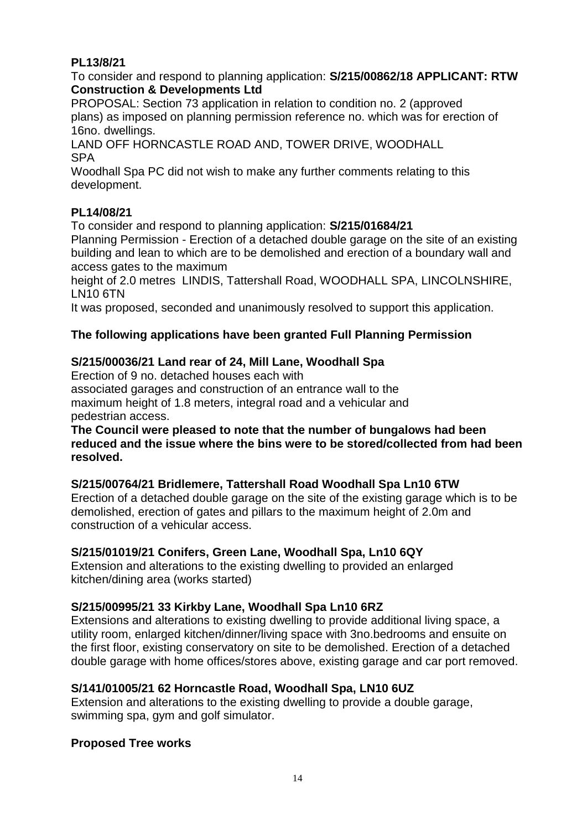## **PL13/8/21**

To consider and respond to planning application: **S/215/00862/18 APPLICANT: RTW Construction & Developments Ltd**

PROPOSAL: Section 73 application in relation to condition no. 2 (approved plans) as imposed on planning permission reference no. which was for erection of 16no. dwellings.

LAND OFF HORNCASTLE ROAD AND, TOWER DRIVE, WOODHALL **SPA** 

Woodhall Spa PC did not wish to make any further comments relating to this development.

## **PL14/08/21**

To consider and respond to planning application: **S/215/01684/21**

Planning Permission - Erection of a detached double garage on the site of an existing building and lean to which are to be demolished and erection of a boundary wall and access gates to the maximum

height of 2.0 metres LINDIS, Tattershall Road, WOODHALL SPA, LINCOLNSHIRE, LN10 6TN

It was proposed, seconded and unanimously resolved to support this application.

## **The following applications have been granted Full Planning Permission**

### **S/215/00036/21 Land rear of 24, Mill Lane, Woodhall Spa**

Erection of 9 no. detached houses each with associated garages and construction of an entrance wall to the maximum height of 1.8 meters, integral road and a vehicular and pedestrian access.

**The Council were pleased to note that the number of bungalows had been reduced and the issue where the bins were to be stored/collected from had been resolved.**

### **S/215/00764/21 Bridlemere, Tattershall Road Woodhall Spa Ln10 6TW**

Erection of a detached double garage on the site of the existing garage which is to be demolished, erection of gates and pillars to the maximum height of 2.0m and construction of a vehicular access.

## **S/215/01019/21 Conifers, Green Lane, Woodhall Spa, Ln10 6QY**

Extension and alterations to the existing dwelling to provided an enlarged kitchen/dining area (works started)

## **S/215/00995/21 33 Kirkby Lane, Woodhall Spa Ln10 6RZ**

Extensions and alterations to existing dwelling to provide additional living space, a utility room, enlarged kitchen/dinner/living space with 3no.bedrooms and ensuite on the first floor, existing conservatory on site to be demolished. Erection of a detached double garage with home offices/stores above, existing garage and car port removed.

## **S/141/01005/21 62 Horncastle Road, Woodhall Spa, LN10 6UZ**

Extension and alterations to the existing dwelling to provide a double garage, swimming spa, gym and golf simulator.

### **Proposed Tree works**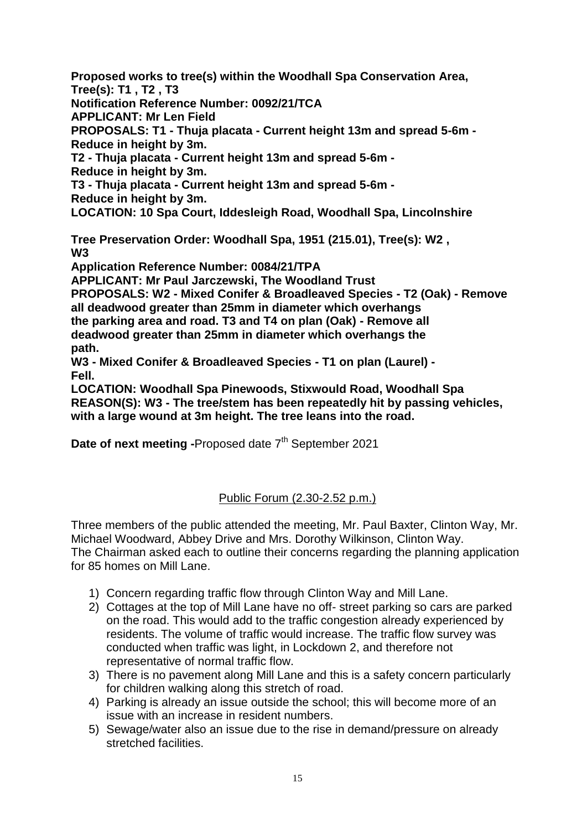**Proposed works to tree(s) within the Woodhall Spa Conservation Area, Tree(s): T1 , T2 , T3** 

**Notification Reference Number: 0092/21/TCA** 

**APPLICANT: Mr Len Field**

**PROPOSALS: T1 - Thuja placata - Current height 13m and spread 5-6m - Reduce in height by 3m.** 

**T2 - Thuja placata - Current height 13m and spread 5-6m -**

**Reduce in height by 3m.** 

**T3 - Thuja placata - Current height 13m and spread 5-6m -**

**Reduce in height by 3m.** 

**LOCATION: 10 Spa Court, Iddesleigh Road, Woodhall Spa, Lincolnshire**

**Tree Preservation Order: Woodhall Spa, 1951 (215.01), Tree(s): W2 , W3** 

**Application Reference Number: 0084/21/TPA** 

**APPLICANT: Mr Paul Jarczewski, The Woodland Trust**

**PROPOSALS: W2 - Mixed Conifer & Broadleaved Species - T2 (Oak) - Remove all deadwood greater than 25mm in diameter which overhangs the parking area and road. T3 and T4 on plan (Oak) - Remove all deadwood greater than 25mm in diameter which overhangs the path.** 

**W3 - Mixed Conifer & Broadleaved Species - T1 on plan (Laurel) - Fell.** 

**LOCATION: Woodhall Spa Pinewoods, Stixwould Road, Woodhall Spa REASON(S): W3 - The tree/stem has been repeatedly hit by passing vehicles, with a large wound at 3m height. The tree leans into the road.**

**Date of next meeting -**Proposed date 7<sup>th</sup> September 2021

# Public Forum (2.30-2.52 p.m.)

Three members of the public attended the meeting, Mr. Paul Baxter, Clinton Way, Mr. Michael Woodward, Abbey Drive and Mrs. Dorothy Wilkinson, Clinton Way. The Chairman asked each to outline their concerns regarding the planning application for 85 homes on Mill Lane.

- 1) Concern regarding traffic flow through Clinton Way and Mill Lane.
- 2) Cottages at the top of Mill Lane have no off- street parking so cars are parked on the road. This would add to the traffic congestion already experienced by residents. The volume of traffic would increase. The traffic flow survey was conducted when traffic was light, in Lockdown 2, and therefore not representative of normal traffic flow.
- 3) There is no pavement along Mill Lane and this is a safety concern particularly for children walking along this stretch of road.
- 4) Parking is already an issue outside the school; this will become more of an issue with an increase in resident numbers.
- 5) Sewage/water also an issue due to the rise in demand/pressure on already stretched facilities.